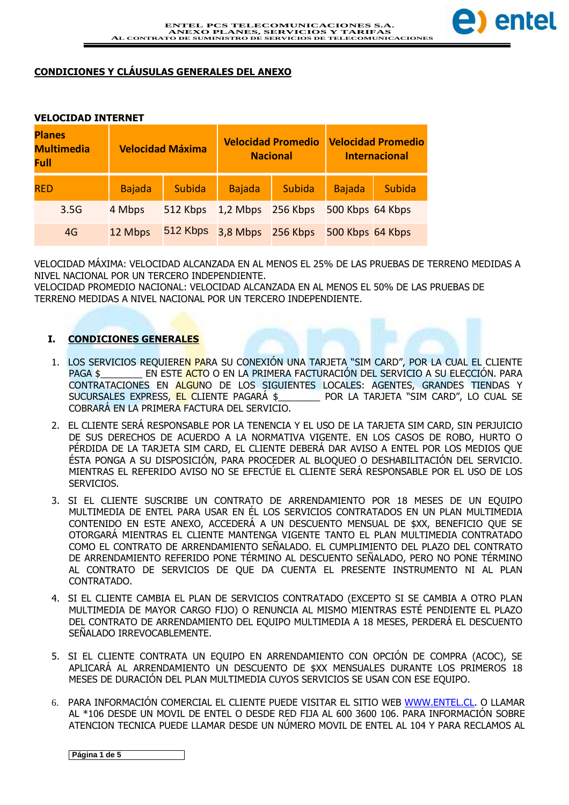

## **CONDICIONES Y CLÁUSULAS GENERALES DEL ANEXO**

#### **VELOCIDAD INTERNET**

| <b>Planes</b><br><b>Multimedia</b><br><b>Full</b> |               | <b>Velocidad Máxima</b> |                   | <b>Velocidad Promedio</b><br><b>Nacional</b> |                  | <b>Velocidad Promedio</b><br><b>Internacional</b> |
|---------------------------------------------------|---------------|-------------------------|-------------------|----------------------------------------------|------------------|---------------------------------------------------|
| <b>RED</b>                                        | <b>Bajada</b> | <b>Subida</b>           | <b>Bajada</b>     | Subida                                       | <b>Bajada</b>    | <b>Subida</b>                                     |
| 3.5G                                              | 4 Mbps        | 512 Kbps                | 1,2 Mbps 256 Kbps |                                              | 500 Kbps 64 Kbps |                                                   |
| 4G                                                | 12 Mbps       | 512 Kbps                | 3,8 Mbps 256 Kbps |                                              | 500 Kbps 64 Kbps |                                                   |

VELOCIDAD MÁXIMA: VELOCIDAD ALCANZADA EN AL MENOS EL 25% DE LAS PRUEBAS DE TERRENO MEDIDAS A NIVEL NACIONAL POR UN TERCERO INDEPENDIENTE.

VELOCIDAD PROMEDIO NACIONAL: VELOCIDAD ALCANZADA EN AL MENOS EL 50% DE LAS PRUEBAS DE TERRENO MEDIDAS A NIVEL NACIONAL POR UN TERCERO INDEPENDIENTE.

### **I. CONDICIONES GENERALES**

- 1. LOS SERVICIOS REQUIEREN PARA SU CONEXIÓN UNA TARJETA "SIM CARD", POR LA CUAL EL CLIENTE PAGA \$ \_\_\_\_\_\_\_\_\_ EN ESTE ACTO O EN LA PRIMERA FACTURACIÓN DEL SERVICIO A SU ELECCIÓN. PARA CONTRATACIONES EN ALGUNO DE LOS SIGUIENTES LOCALES: AGENTES, GRANDES TIENDAS Y SUCURSALES EXPRESS, EL CLIENTE PAGARÁ \$\_\_\_\_\_\_\_\_ POR LA TARJETA "SIM CARD", LO CUAL SE COBRARÁ EN LA PRIMERA FACTURA DEL SERVICIO.
- 2. EL CLIENTE SERÁ RESPONSABLE POR LA TENENCIA Y EL USO DE LA TARJETA SIM CARD, SIN PERJUICIO DE SUS DERECHOS DE ACUERDO A LA NORMATIVA VIGENTE. EN LOS CASOS DE ROBO, HURTO O PÉRDIDA DE LA TARJETA SIM CARD, EL CLIENTE DEBERÁ DAR AVISO A ENTEL POR LOS MEDIOS QUE ÉSTA PONGA A SU DISPOSICIÓN, PARA PROCEDER AL BLOQUEO O DESHABILITACIÓN DEL SERVICIO. MIENTRAS EL REFERIDO AVISO NO SE EFECTÚE EL CLIENTE SERÁ RESPONSABLE POR EL USO DE LOS SERVICIOS.
- 3. SI EL CLIENTE SUSCRIBE UN CONTRATO DE ARRENDAMIENTO POR 18 MESES DE UN EQUIPO MULTIMEDIA DE ENTEL PARA USAR EN ÉL LOS SERVICIOS CONTRATADOS EN UN PLAN MULTIMEDIA CONTENIDO EN ESTE ANEXO, ACCEDERÁ A UN DESCUENTO MENSUAL DE \$XX, BENEFICIO QUE SE OTORGARÁ MIENTRAS EL CLIENTE MANTENGA VIGENTE TANTO EL PLAN MULTIMEDIA CONTRATADO COMO EL CONTRATO DE ARRENDAMIENTO SEÑALADO. EL CUMPLIMIENTO DEL PLAZO DEL CONTRATO DE ARRENDAMIENTO REFERIDO PONE TÉRMINO AL DESCUENTO SEÑALADO, PERO NO PONE TÉRMINO AL CONTRATO DE SERVICIOS DE QUE DA CUENTA EL PRESENTE INSTRUMENTO NI AL PLAN CONTRATADO.
- 4. SI EL CLIENTE CAMBIA EL PLAN DE SERVICIOS CONTRATADO (EXCEPTO SI SE CAMBIA A OTRO PLAN MULTIMEDIA DE MAYOR CARGO FIJO) O RENUNCIA AL MISMO MIENTRAS ESTÉ PENDIENTE EL PLAZO DEL CONTRATO DE ARRENDAMIENTO DEL EQUIPO MULTIMEDIA A 18 MESES, PERDERÁ EL DESCUENTO SEÑALADO IRREVOCABLEMENTE.
- 5. SI EL CLIENTE CONTRATA UN EQUIPO EN ARRENDAMIENTO CON OPCIÓN DE COMPRA (ACOC), SE APLICARÁ AL ARRENDAMIENTO UN DESCUENTO DE \$XX MENSUALES DURANTE LOS PRIMEROS 18 MESES DE DURACIÓN DEL PLAN MULTIMEDIA CUYOS SERVICIOS SE USAN CON ESE EQUIPO.
- 6. PARA INFORMACIÓN COMERCIAL EL CLIENTE PUEDE VISITAR EL SITIO WEB WWW.ENTEL.CL. O LLAMAR AL \*106 DESDE UN MOVIL DE ENTEL O DESDE RED FIJA AL 600 3600 106. PARA INFORMACIÓN SOBRE ATENCION TECNICA PUEDE LLAMAR DESDE UN NÚMERO MOVIL DE ENTEL AL 104 Y PARA RECLAMOS AL

**Página 1 de 5**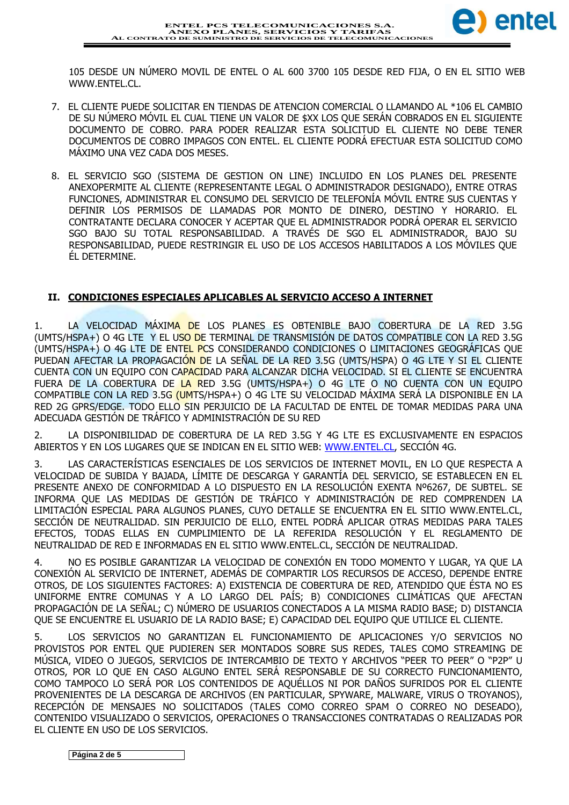

105 DESDE UN NÚMERO MOVIL DE ENTEL O AL 600 3700 105 DESDE RED FIJA, O EN EL SITIO WEB WWW.ENTEL.CL.

- 7. EL CLIENTE PUEDE SOLICITAR EN TIENDAS DE ATENCION COMERCIAL O LLAMANDO AL \*106 EL CAMBIO DE SU NÚMERO MÓVIL EL CUAL TIENE UN VALOR DE \$XX LOS QUE SERÁN COBRADOS EN EL SIGUIENTE DOCUMENTO DE COBRO. PARA PODER REALIZAR ESTA SOLICITUD EL CLIENTE NO DEBE TENER DOCUMENTOS DE COBRO IMPAGOS CON ENTEL. EL CLIENTE PODRÁ EFECTUAR ESTA SOLICITUD COMO MÁXIMO UNA VEZ CADA DOS MESES.
- 8. EL SERVICIO SGO (SISTEMA DE GESTION ON LINE) INCLUIDO EN LOS PLANES DEL PRESENTE ANEXOPERMITE AL CLIENTE (REPRESENTANTE LEGAL O ADMINISTRADOR DESIGNADO), ENTRE OTRAS FUNCIONES, ADMINISTRAR EL CONSUMO DEL SERVICIO DE TELEFONÍA MÓVIL ENTRE SUS CUENTAS Y DEFINIR LOS PERMISOS DE LLAMADAS POR MONTO DE DINERO, DESTINO Y HORARIO. EL CONTRATANTE DECLARA CONOCER Y ACEPTAR QUE EL ADMINISTRADOR PODRÁ OPERAR EL SERVICIO SGO BAJO SU TOTAL RESPONSABILIDAD. A TRAVÉS DE SGO EL ADMINISTRADOR, BAJO SU RESPONSABILIDAD, PUEDE RESTRINGIR EL USO DE LOS ACCESOS HABILITADOS A LOS MÓVILES QUE ÉL DETERMINE.

# **II. CONDICIONES ESPECIALES APLICABLES AL SERVICIO ACCESO A INTERNET**

1. LA VELOCIDAD MÁXIMA DE LOS PLANES ES OBTENIBLE BAJO COBERTURA DE LA RED 3.5G (UMTS/HSPA+) O 4G LTE Y EL USO DE TERMINAL DE TRANSMISIÓN DE DATOS COMPATIBLE CON LA RED 3.5G (UMTS/HSPA+) O 4G LTE DE ENTEL PCS CONSIDERANDO CONDICIONES O LIMITACIONES GEOGRÁFICAS QUE PUEDAN AFECTAR LA PROPAGACIÓN DE LA SEÑAL DE LA RED 3.5G (UMTS/HSPA) O 4G LTE Y SI EL CLIENTE CUENTA CON UN EQUIPO CON CAPACIDAD PARA ALCANZAR DICHA VELOCIDAD. SI EL CLIENTE SE ENCUENTRA FUERA DE LA COBERTURA DE LA RED 3.5G (UMTS/HSPA+) O 4G LTE O NO CUENTA CON UN EQUIPO COMPATIBLE CON LA RED 3.5G (UMTS/HSPA+) O 4G LTE SU VELOCIDAD MÁXIMA SERÁ LA DISPONIBLE EN LA RED 2G GPRS/EDGE. TODO ELLO SIN PERJUICIO DE LA FACULTAD DE ENTEL DE TOMAR MEDIDAS PARA UNA ADECUADA GESTIÓN DE TRÁFICO Y ADMINISTRACIÓN DE SU RED

2. LA DISPONIBILIDAD DE COBERTURA DE LA RED 3.5G Y 4G LTE ES EXCLUSIVAMENTE EN ESPACIOS ABIERTOS Y EN LOS LUGARES QUE SE INDICAN EN EL SITIO WEB: WWW.ENTEL.CL, SECCIÓN 4G.

3. LAS CARACTERÍSTICAS ESENCIALES DE LOS SERVICIOS DE INTERNET MOVIL, EN LO QUE RESPECTA A VELOCIDAD DE SUBIDA Y BAJADA, LÍMITE DE DESCARGA Y GARANTÍA DEL SERVICIO, SE ESTABLECEN EN EL PRESENTE ANEXO DE CONFORMIDAD A LO DISPUESTO EN LA RESOLUCIÓN EXENTA Nº6267, DE SUBTEL. SE INFORMA QUE LAS MEDIDAS DE GESTIÓN DE TRÁFICO Y ADMINISTRACIÓN DE RED COMPRENDEN LA LIMITACIÓN ESPECIAL PARA ALGUNOS PLANES, CUYO DETALLE SE ENCUENTRA EN EL SITIO WWW.ENTEL.CL, SECCIÓN DE NEUTRALIDAD. SIN PERJUICIO DE ELLO, ENTEL PODRÁ APLICAR OTRAS MEDIDAS PARA TALES EFECTOS, TODAS ELLAS EN CUMPLIMIENTO DE LA REFERIDA RESOLUCIÓN Y EL REGLAMENTO DE NEUTRALIDAD DE RED E INFORMADAS EN EL SITIO WWW.ENTEL.CL, SECCIÓN DE NEUTRALIDAD.

4. NO ES POSIBLE GARANTIZAR LA VELOCIDAD DE CONEXIÓN EN TODO MOMENTO Y LUGAR, YA QUE LA CONEXIÓN AL SERVICIO DE INTERNET, ADEMÁS DE COMPARTIR LOS RECURSOS DE ACCESO, DEPENDE ENTRE OTROS, DE LOS SIGUIENTES FACTORES: A) EXISTENCIA DE COBERTURA DE RED, ATENDIDO QUE ÉSTA NO ES UNIFORME ENTRE COMUNAS Y A LO LARGO DEL PAÍS; B) CONDICIONES CLIMÁTICAS QUE AFECTAN PROPAGACIÓN DE LA SEÑAL; C) NÚMERO DE USUARIOS CONECTADOS A LA MISMA RADIO BASE; D) DISTANCIA QUE SE ENCUENTRE EL USUARIO DE LA RADIO BASE; E) CAPACIDAD DEL EQUIPO QUE UTILICE EL CLIENTE.

5. LOS SERVICIOS NO GARANTIZAN EL FUNCIONAMIENTO DE APLICACIONES Y/O SERVICIOS NO PROVISTOS POR ENTEL QUE PUDIEREN SER MONTADOS SOBRE SUS REDES, TALES COMO STREAMING DE MÚSICA, VIDEO O JUEGOS, SERVICIOS DE INTERCAMBIO DE TEXTO Y ARCHIVOS "PEER TO PEER" O "P2P" U OTROS, POR LO QUE EN CASO ALGUNO ENTEL SERÁ RESPONSABLE DE SU CORRECTO FUNCIONAMIENTO, COMO TAMPOCO LO SERÁ POR LOS CONTENIDOS DE AQUÉLLOS NI POR DAÑOS SUFRIDOS POR EL CLIENTE PROVENIENTES DE LA DESCARGA DE ARCHIVOS (EN PARTICULAR, SPYWARE, MALWARE, VIRUS O TROYANOS), RECEPCIÓN DE MENSAJES NO SOLICITADOS (TALES COMO CORREO SPAM O CORREO NO DESEADO), CONTENIDO VISUALIZADO O SERVICIOS, OPERACIONES O TRANSACCIONES CONTRATADAS O REALIZADAS POR EL CLIENTE EN USO DE LOS SERVICIOS.

**Página 2 de 5**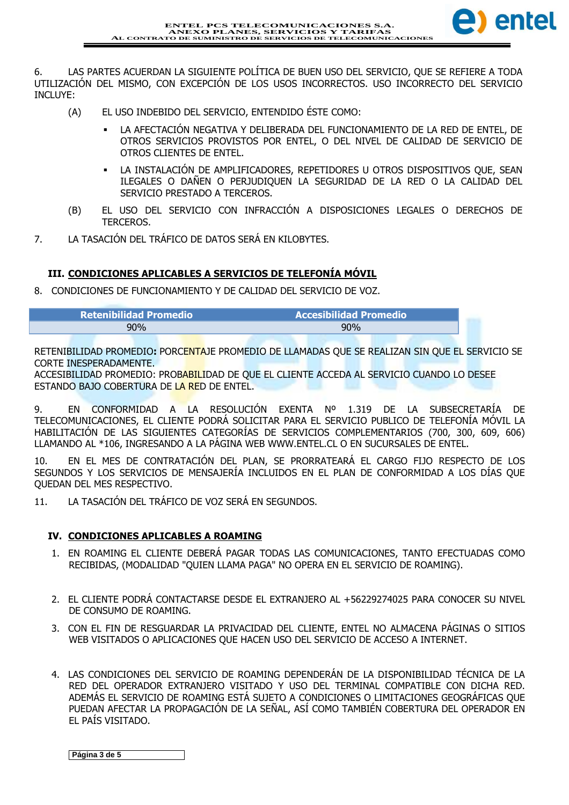

6. LAS PARTES ACUERDAN LA SIGUIENTE POLÍTICA DE BUEN USO DEL SERVICIO, QUE SE REFIERE A TODA UTILIZACIÓN DEL MISMO, CON EXCEPCIÓN DE LOS USOS INCORRECTOS. USO INCORRECTO DEL SERVICIO INCLUYE:

- (A) EL USO INDEBIDO DEL SERVICIO, ENTENDIDO ÉSTE COMO:
	- LA AFECTACIÓN NEGATIVA Y DELIBERADA DEL FUNCIONAMIENTO DE LA RED DE ENTEL, DE OTROS SERVICIOS PROVISTOS POR ENTEL, O DEL NIVEL DE CALIDAD DE SERVICIO DE OTROS CLIENTES DE ENTEL.
	- LA INSTALACIÓN DE AMPLIFICADORES, REPETIDORES U OTROS DISPOSITIVOS QUE, SEAN ILEGALES O DAÑEN O PERJUDIQUEN LA SEGURIDAD DE LA RED O LA CALIDAD DEL SERVICIO PRESTADO A TERCEROS.
- (B) EL USO DEL SERVICIO CON INFRACCIÓN A DISPOSICIONES LEGALES O DERECHOS DE TERCEROS.
- 7. LA TASACIÓN DEL TRÁFICO DE DATOS SERÁ EN KILOBYTES.

# **III. CONDICIONES APLICABLES A SERVICIOS DE TELEFONÍA MÓVIL**

8. CONDICIONES DE FUNCIONAMIENTO Y DE CALIDAD DEL SERVICIO DE VOZ.

| <b>Retenibilidad Promedio</b> | <b>Accesibilidad Promedio</b> |
|-------------------------------|-------------------------------|
| 90%                           | 90%                           |

RETENIBILIDAD PROMEDIO**:** PORCENTAJE PROMEDIO DE LLAMADAS QUE SE REALIZAN SIN QUE EL SERVICIO SE CORTE INESPERADAMENTE.

ACCESIBILIDAD PROMEDIO: PROBABILIDAD DE QUE EL CLIENTE ACCEDA AL SERVICIO CUANDO LO DESEE ESTANDO BAJO COBERTURA DE LA RED DE ENTEL.

9. EN CONFORMIDAD A LA RESOLUCIÓN EXENTA Nº 1.319 DE LA SUBSECRETARÍA DE TELECOMUNICACIONES, EL CLIENTE PODRÁ SOLICITAR PARA EL SERVICIO PUBLICO DE TELEFONÍA MÓVIL LA HABILITACIÓN DE LAS SIGUIENTES CATEGORÍAS DE SERVICIOS COMPLEMENTARIOS (700, 300, 609, 606) LLAMANDO AL \*106, INGRESANDO A LA PÁGINA WEB WWW.ENTEL.CL O EN SUCURSALES DE ENTEL.

10. EN EL MES DE CONTRATACIÓN DEL PLAN, SE PRORRATEARÁ EL CARGO FIJO RESPECTO DE LOS SEGUNDOS Y LOS SERVICIOS DE MENSAJERÍA INCLUIDOS EN EL PLAN DE CONFORMIDAD A LOS DÍAS QUE QUEDAN DEL MES RESPECTIVO.

11. LA TASACIÓN DEL TRÁFICO DE VOZ SERÁ EN SEGUNDOS.

# **IV. CONDICIONES APLICABLES A ROAMING**

- 1. EN ROAMING EL CLIENTE DEBERÁ PAGAR TODAS LAS COMUNICACIONES, TANTO EFECTUADAS COMO RECIBIDAS, (MODALIDAD "QUIEN LLAMA PAGA" NO OPERA EN EL SERVICIO DE ROAMING).
- 2. EL CLIENTE PODRÁ CONTACTARSE DESDE EL EXTRANJERO AL +56229274025 PARA CONOCER SU NIVEL DE CONSUMO DE ROAMING.
- 3. CON EL FIN DE RESGUARDAR LA PRIVACIDAD DEL CLIENTE, ENTEL NO ALMACENA PÁGINAS O SITIOS WEB VISITADOS O APLICACIONES QUE HACEN USO DEL SERVICIO DE ACCESO A INTERNET.
- 4. LAS CONDICIONES DEL SERVICIO DE ROAMING DEPENDERÁN DE LA DISPONIBILIDAD TÉCNICA DE LA RED DEL OPERADOR EXTRANJERO VISITADO Y USO DEL TERMINAL COMPATIBLE CON DICHA RED. ADEMÁS EL SERVICIO DE ROAMING ESTÁ SUJETO A CONDICIONES O LIMITACIONES GEOGRÁFICAS QUE PUEDAN AFECTAR LA PROPAGACIÓN DE LA SEÑAL, ASÍ COMO TAMBIÉN COBERTURA DEL OPERADOR EN EL PAÍS VISITADO.

**Página 3 de 5**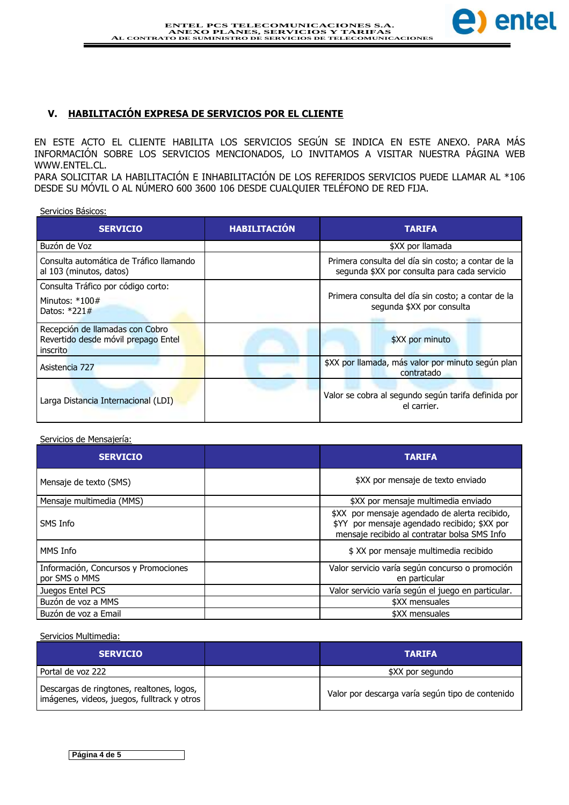

# **V. HABILITACIÓN EXPRESA DE SERVICIOS POR EL CLIENTE**

EN ESTE ACTO EL CLIENTE HABILITA LOS SERVICIOS SEGÚN SE INDICA EN ESTE ANEXO. PARA MÁS INFORMACIÓN SOBRE LOS SERVICIOS MENCIONADOS, LO INVITAMOS A VISITAR NUESTRA PÁGINA WEB WWW.ENTEL.CL.

PARA SOLICITAR LA HABILITACIÓN E INHABILITACIÓN DE LOS REFERIDOS SERVICIOS PUEDE LLAMAR AL \*106 DESDE SU MÓVIL O AL NÚMERO 600 3600 106 DESDE CUALQUIER TELÉFONO DE RED FIJA.

Servicios Básicos:

| <b>SERVICIO</b>                                                                    | <b>HABILITACIÓN</b> | <b>TARIFA</b>                                                                                      |
|------------------------------------------------------------------------------------|---------------------|----------------------------------------------------------------------------------------------------|
| Buzón de Voz                                                                       |                     | \$XX por llamada                                                                                   |
| Consulta automática de Tráfico llamando<br>al 103 (minutos, datos)                 |                     | Primera consulta del día sin costo; a contar de la<br>segunda \$XX por consulta para cada servicio |
| Consulta Tráfico por código corto:                                                 |                     |                                                                                                    |
| Minutos: $*100#$<br>Datos: $*221#$                                                 |                     | Primera consulta del día sin costo; a contar de la<br>segunda \$XX por consulta                    |
| Recepción de llamadas con Cobro<br>Revertido desde móvil prepago Entel<br>inscrito |                     | \$XX por minuto                                                                                    |
| Asistencia 727                                                                     |                     | \$XX por llamada, más valor por minuto según plan<br>contratado                                    |
| Larga Distancia Internacional (LDI)                                                |                     | Valor se cobra al segundo según tarifa definida por<br>el carrier.                                 |

#### Servicios de Mensajería:

| <b>SERVICIO</b>                                       | <b>TARIFA</b>                                                                                                                                 |
|-------------------------------------------------------|-----------------------------------------------------------------------------------------------------------------------------------------------|
| Mensaje de texto (SMS)                                | \$XX por mensaje de texto enviado                                                                                                             |
| Mensaje multimedia (MMS)                              | \$XX por mensaje multimedia enviado                                                                                                           |
| SMS Info                                              | \$XX por mensaje agendado de alerta recibido,<br>\$YY por mensaje agendado recibido; \$XX por<br>mensaje recibido al contratar bolsa SMS Info |
| MMS Info                                              | \$ XX por mensaje multimedia recibido                                                                                                         |
| Información, Concursos y Promociones<br>por SMS o MMS | Valor servicio varía según concurso o promoción<br>en particular                                                                              |
| Juegos Entel PCS                                      | Valor servicio varía según el juego en particular.                                                                                            |
| Buzón de voz a MMS                                    | \$XX mensuales                                                                                                                                |
| Buzón de voz a Email                                  | \$XX mensuales                                                                                                                                |

Servicios Multimedia:

| <b>SERVICIO</b>                                                                          | <b>TARIFA</b>                                    |
|------------------------------------------------------------------------------------------|--------------------------------------------------|
| Portal de voz 222                                                                        | \$XX por segundo                                 |
| Descargas de ringtones, realtones, logos,<br>imágenes, videos, juegos, fulltrack y otros | Valor por descarga varía según tipo de contenido |